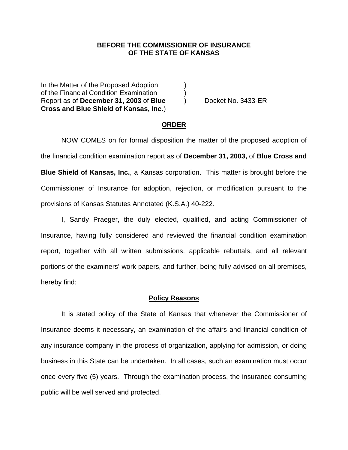### **BEFORE THE COMMISSIONER OF INSURANCE OF THE STATE OF KANSAS**

In the Matter of the Proposed Adoption of the Financial Condition Examination ) Report as of **December 31, 2003** of **Blue** ) Docket No. 3433-ER **Cross and Blue Shield of Kansas, Inc.** )

#### **ORDER**

 NOW COMES on for formal disposition the matter of the proposed adoption of the financial condition examination report as of **December 31, 2003,** of **Blue Cross and Blue Shield of Kansas, Inc.**, a Kansas corporation. This matter is brought before the Commissioner of Insurance for adoption, rejection, or modification pursuant to the provisions of Kansas Statutes Annotated (K.S.A.) 40-222.

 I, Sandy Praeger, the duly elected, qualified, and acting Commissioner of Insurance, having fully considered and reviewed the financial condition examination report, together with all written submissions, applicable rebuttals, and all relevant portions of the examiners' work papers, and further, being fully advised on all premises, hereby find:

#### **Policy Reasons**

 It is stated policy of the State of Kansas that whenever the Commissioner of Insurance deems it necessary, an examination of the affairs and financial condition of any insurance company in the process of organization, applying for admission, or doing business in this State can be undertaken. In all cases, such an examination must occur once every five (5) years. Through the examination process, the insurance consuming public will be well served and protected.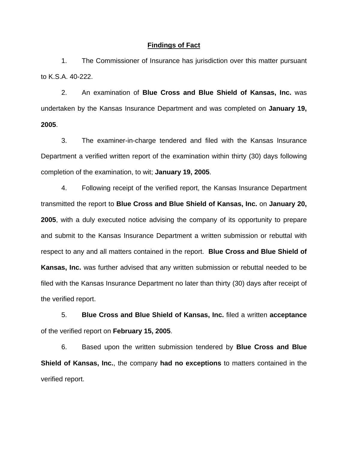#### **Findings of Fact**

 1. The Commissioner of Insurance has jurisdiction over this matter pursuant to K.S.A. 40-222.

 2. An examination of **Blue Cross and Blue Shield of Kansas, Inc.** was undertaken by the Kansas Insurance Department and was completed on **January 19, 2005**.

 3. The examiner-in-charge tendered and filed with the Kansas Insurance Department a verified written report of the examination within thirty (30) days following completion of the examination, to wit; **January 19, 2005**.

 4. Following receipt of the verified report, the Kansas Insurance Department transmitted the report to **Blue Cross and Blue Shield of Kansas, Inc.** on **January 20, 2005**, with a duly executed notice advising the company of its opportunity to prepare and submit to the Kansas Insurance Department a written submission or rebuttal with respect to any and all matters contained in the report. **Blue Cross and Blue Shield of Kansas, Inc.** was further advised that any written submission or rebuttal needed to be filed with the Kansas Insurance Department no later than thirty (30) days after receipt of the verified report.

 5. **Blue Cross and Blue Shield of Kansas, Inc.** filed a written **acceptance** of the verified report on **February 15, 2005**.

 6. Based upon the written submission tendered by **Blue Cross and Blue Shield of Kansas, Inc.**, the company **had no exceptions** to matters contained in the verified report.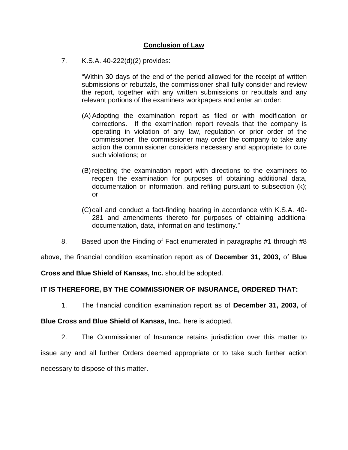# **Conclusion of Law**

7. K.S.A. 40-222(d)(2) provides:

"Within 30 days of the end of the period allowed for the receipt of written submissions or rebuttals, the commissioner shall fully consider and review the report, together with any written submissions or rebuttals and any relevant portions of the examiners workpapers and enter an order:

- (A) Adopting the examination report as filed or with modification or corrections. If the examination report reveals that the company is operating in violation of any law, regulation or prior order of the commissioner, the commissioner may order the company to take any action the commissioner considers necessary and appropriate to cure such violations; or
- (B) rejecting the examination report with directions to the examiners to reopen the examination for purposes of obtaining additional data, documentation or information, and refiling pursuant to subsection (k); or
- (C) call and conduct a fact-finding hearing in accordance with K.S.A. 40- 281 and amendments thereto for purposes of obtaining additional documentation, data, information and testimony."
- 8. Based upon the Finding of Fact enumerated in paragraphs #1 through #8

above, the financial condition examination report as of **December 31, 2003,** of **Blue** 

**Cross and Blue Shield of Kansas, Inc.** should be adopted.

## **IT IS THEREFORE, BY THE COMMISSIONER OF INSURANCE, ORDERED THAT:**

1. The financial condition examination report as of **December 31, 2003,** of

### **Blue Cross and Blue Shield of Kansas, Inc.**, here is adopted.

 2. The Commissioner of Insurance retains jurisdiction over this matter to issue any and all further Orders deemed appropriate or to take such further action necessary to dispose of this matter.